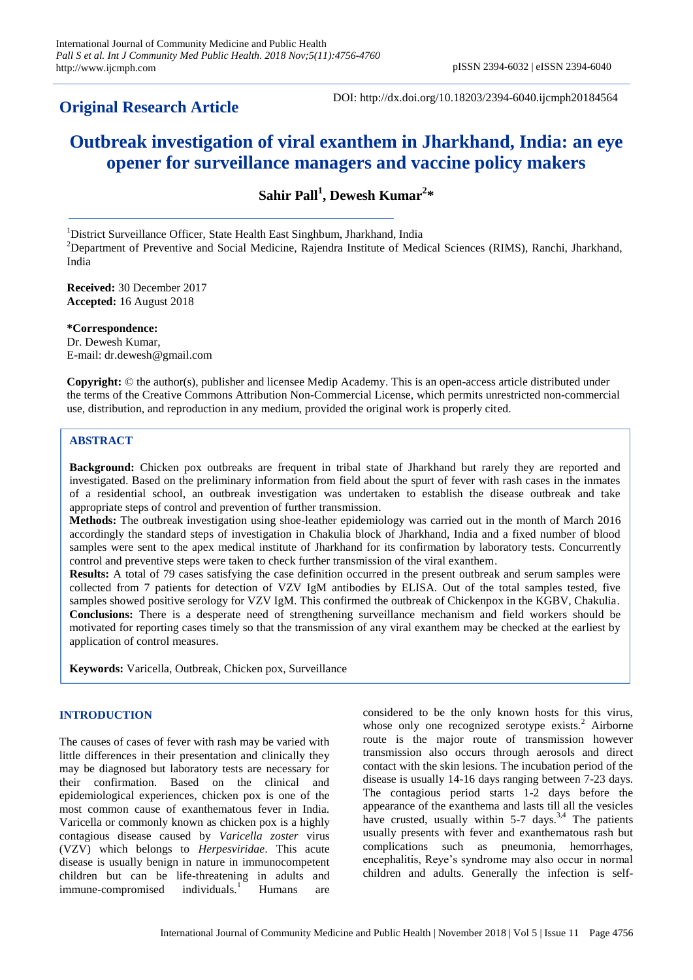# **Original Research Article**

DOI: http://dx.doi.org/10.18203/2394-6040.ijcmph20184564

# **Outbreak investigation of viral exanthem in Jharkhand, India: an eye opener for surveillance managers and vaccine policy makers**

**Sahir Pall<sup>1</sup> , Dewesh Kumar<sup>2</sup> \***

<sup>1</sup>District Surveillance Officer, State Health East Singhbum, Jharkhand, India <sup>2</sup>Department of Preventive and Social Medicine, Rajendra Institute of Medical Sciences (RIMS), Ranchi, Jharkhand, India

**Received:** 30 December 2017 **Accepted:** 16 August 2018

**\*Correspondence:** Dr. Dewesh Kumar, E-mail: dr.dewesh@gmail.com

**Copyright:** © the author(s), publisher and licensee Medip Academy. This is an open-access article distributed under the terms of the Creative Commons Attribution Non-Commercial License, which permits unrestricted non-commercial use, distribution, and reproduction in any medium, provided the original work is properly cited.

# **ABSTRACT**

**Background:** Chicken pox outbreaks are frequent in tribal state of Jharkhand but rarely they are reported and investigated. Based on the preliminary information from field about the spurt of fever with rash cases in the inmates of a residential school, an outbreak investigation was undertaken to establish the disease outbreak and take appropriate steps of control and prevention of further transmission.

**Methods:** The outbreak investigation using shoe-leather epidemiology was carried out in the month of March 2016 accordingly the standard steps of investigation in Chakulia block of Jharkhand, India and a fixed number of blood samples were sent to the apex medical institute of Jharkhand for its confirmation by laboratory tests. Concurrently control and preventive steps were taken to check further transmission of the viral exanthem.

**Results:** A total of 79 cases satisfying the case definition occurred in the present outbreak and serum samples were collected from 7 patients for detection of VZV IgM antibodies by ELISA. Out of the total samples tested, five samples showed positive serology for VZV IgM. This confirmed the outbreak of Chickenpox in the KGBV, Chakulia. **Conclusions:** There is a desperate need of strengthening surveillance mechanism and field workers should be motivated for reporting cases timely so that the transmission of any viral exanthem may be checked at the earliest by application of control measures.

**Keywords:** Varicella, Outbreak, Chicken pox, Surveillance

## **INTRODUCTION**

The causes of cases of fever with rash may be varied with little differences in their presentation and clinically they may be diagnosed but laboratory tests are necessary for their confirmation. Based on the clinical and epidemiological experiences, chicken pox is one of the most common cause of exanthematous fever in India. Varicella or commonly known as chicken pox is a highly contagious disease caused by *Varicella zoster* virus (VZV) which belongs to *Herpesviridae*. This acute disease is usually benign in nature in immunocompetent children but can be life-threatening in adults and immune-compromised individuals.<sup>1</sup> Humans are  $immune-compromised$  individuals.<sup>1</sup> Humans are

considered to be the only known hosts for this virus, whose only one recognized serotype exists.<sup>2</sup> Airborne route is the major route of transmission however transmission also occurs through aerosols and direct contact with the skin lesions. The incubation period of the disease is usually 14-16 days ranging between 7-23 days. The contagious period starts 1-2 days before the appearance of the exanthema and lasts till all the vesicles have crusted, usually within  $5-7$  days.<sup>3,4</sup> The patients usually presents with fever and exanthematous rash but complications such as pneumonia, hemorrhages, encephalitis, Reye's syndrome may also occur in normal children and adults. Generally the infection is self-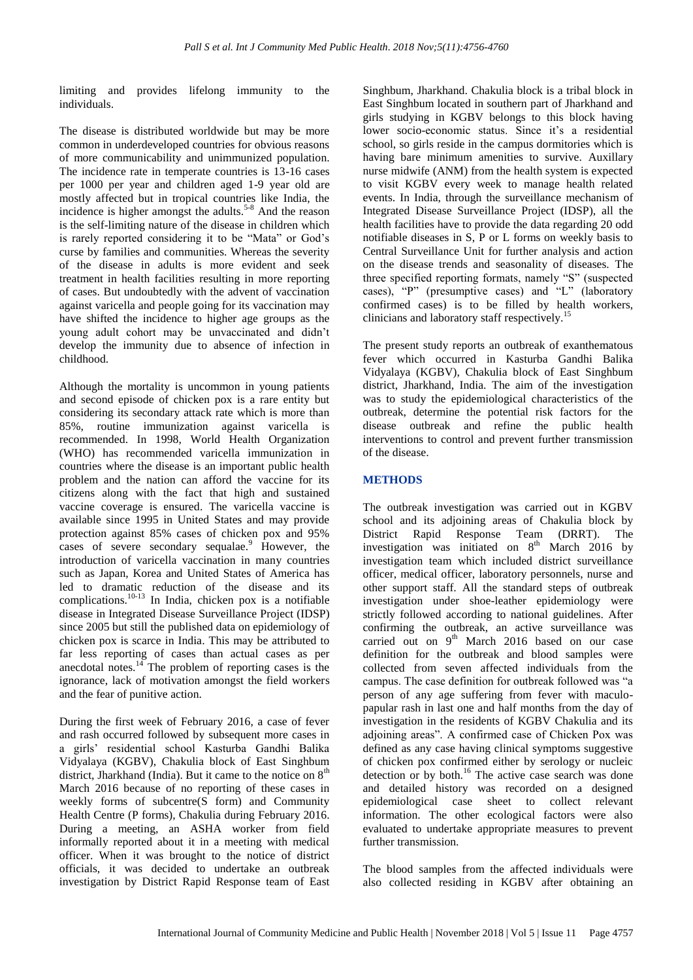limiting and provides lifelong immunity to the individuals.

The disease is distributed worldwide but may be more common in underdeveloped countries for obvious reasons of more communicability and unimmunized population. The incidence rate in temperate countries is 13-16 cases per 1000 per year and children aged 1-9 year old are mostly affected but in tropical countries like India, the incidence is higher amongst the adults.<sup>5-8</sup> And the reason is the self-limiting nature of the disease in children which is rarely reported considering it to be "Mata" or God's curse by families and communities. Whereas the severity of the disease in adults is more evident and seek treatment in health facilities resulting in more reporting of cases. But undoubtedly with the advent of vaccination against varicella and people going for its vaccination may have shifted the incidence to higher age groups as the young adult cohort may be unvaccinated and didn't develop the immunity due to absence of infection in childhood.

Although the mortality is uncommon in young patients and second episode of chicken pox is a rare entity but considering its secondary attack rate which is more than 85%, routine immunization against varicella is recommended. In 1998, World Health Organization (WHO) has recommended varicella immunization in countries where the disease is an important public health problem and the nation can afford the vaccine for its citizens along with the fact that high and sustained vaccine coverage is ensured. The varicella vaccine is available since 1995 in United States and may provide protection against 85% cases of chicken pox and 95% cases of severe secondary sequalae.<sup>9</sup> However, the introduction of varicella vaccination in many countries such as Japan, Korea and United States of America has led to dramatic reduction of the disease and its complications. $10-13$  In India, chicken pox is a notifiable disease in Integrated Disease Surveillance Project (IDSP) since 2005 but still the published data on epidemiology of chicken pox is scarce in India. This may be attributed to far less reporting of cases than actual cases as per anecdotal notes. $14$ <sup>T</sup> The problem of reporting cases is the ignorance, lack of motivation amongst the field workers and the fear of punitive action.

During the first week of February 2016, a case of fever and rash occurred followed by subsequent more cases in a girls' residential school Kasturba Gandhi Balika Vidyalaya (KGBV), Chakulia block of East Singhbum district, Jharkhand (India). But it came to the notice on  $8<sup>th</sup>$ March 2016 because of no reporting of these cases in weekly forms of subcentre(S form) and Community Health Centre (P forms), Chakulia during February 2016. During a meeting, an ASHA worker from field informally reported about it in a meeting with medical officer. When it was brought to the notice of district officials, it was decided to undertake an outbreak investigation by District Rapid Response team of East Singhbum, Jharkhand. Chakulia block is a tribal block in East Singhbum located in southern part of Jharkhand and girls studying in KGBV belongs to this block having lower socio-economic status. Since it's a residential school, so girls reside in the campus dormitories which is having bare minimum amenities to survive. Auxillary nurse midwife (ANM) from the health system is expected to visit KGBV every week to manage health related events. In India, through the surveillance mechanism of Integrated Disease Surveillance Project (IDSP), all the health facilities have to provide the data regarding 20 odd notifiable diseases in S, P or L forms on weekly basis to Central Surveillance Unit for further analysis and action on the disease trends and seasonality of diseases. The three specified reporting formats, namely "S" (suspected cases), "P" (presumptive cases) and "L" (laboratory confirmed cases) is to be filled by health workers, clinicians and laboratory staff respectively.<sup>15</sup>

The present study reports an outbreak of exanthematous fever which occurred in Kasturba Gandhi Balika Vidyalaya (KGBV), Chakulia block of East Singhbum district, Jharkhand, India. The aim of the investigation was to study the epidemiological characteristics of the outbreak, determine the potential risk factors for the disease outbreak and refine the public health interventions to control and prevent further transmission of the disease.

# **METHODS**

The outbreak investigation was carried out in KGBV school and its adjoining areas of Chakulia block by District Rapid Response Team (DRRT). The investigation was initiated on  $8<sup>th</sup>$  March 2016 by investigation team which included district surveillance officer, medical officer, laboratory personnels, nurse and other support staff. All the standard steps of outbreak investigation under shoe-leather epidemiology were strictly followed according to national guidelines. After confirming the outbreak, an active surveillance was carried out on 9<sup>th</sup> March 2016 based on our case definition for the outbreak and blood samples were collected from seven affected individuals from the campus. The case definition for outbreak followed was "a person of any age suffering from fever with maculopapular rash in last one and half months from the day of investigation in the residents of KGBV Chakulia and its adjoining areas". A confirmed case of Chicken Pox was defined as any case having clinical symptoms suggestive of chicken pox confirmed either by serology or nucleic detection or by both. $16$  The active case search was done and detailed history was recorded on a designed epidemiological case sheet to collect relevant information. The other ecological factors were also evaluated to undertake appropriate measures to prevent further transmission.

The blood samples from the affected individuals were also collected residing in KGBV after obtaining an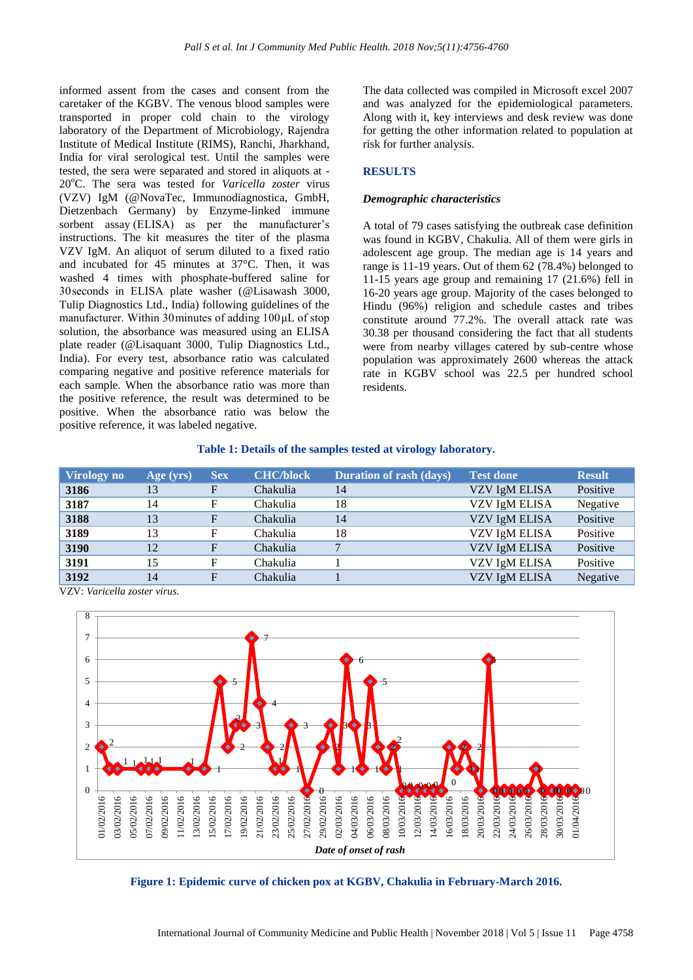informed assent from the cases and consent from the caretaker of the KGBV. The venous blood samples were transported in proper cold chain to the virology laboratory of the Department of Microbiology, Rajendra Institute of Medical Institute (RIMS), Ranchi, Jharkhand, India for viral serological test. Until the samples were tested, the sera were separated and stored in aliquots at - 20°C. The sera was tested for *Varicella zoster* virus (VZV) IgM (@NovaTec, Immunodiagnostica, GmbH, Dietzenbach Germany) by Enzyme-linked immune sorbent assay (ELISA) as per the manufacturer's instructions. The kit measures the titer of the plasma VZV IgM. An aliquot of serum diluted to a fixed ratio and incubated for 45 minutes at 37°C. Then, it was washed 4 times with phosphate-buffered saline for 30 seconds in ELISA plate washer (@Lisawash 3000, Tulip Diagnostics Ltd., India) following guidelines of the manufacturer. Within 30 minutes of adding 100 μL of stop solution, the absorbance was measured using an ELISA plate reader (@Lisaquant 3000, Tulip Diagnostics Ltd., India). For every test, absorbance ratio was calculated comparing negative and positive reference materials for each sample. When the absorbance ratio was more than the positive reference, the result was determined to be positive. When the absorbance ratio was below the positive reference, it was labeled negative.

The data collected was compiled in Microsoft excel 2007 and was analyzed for the epidemiological parameters. Along with it, key interviews and desk review was done for getting the other information related to population at risk for further analysis.

# **RESULTS**

#### *Demographic characteristics*

A total of 79 cases satisfying the outbreak case definition was found in KGBV, Chakulia. All of them were girls in adolescent age group. The median age is 14 years and range is 11-19 years. Out of them 62 (78.4%) belonged to 11-15 years age group and remaining 17 (21.6%) fell in 16-20 years age group. Majority of the cases belonged to Hindu (96%) religion and schedule castes and tribes constitute around 77.2%. The overall attack rate was 30.38 per thousand considering the fact that all students were from nearby villages catered by sub-centre whose population was approximately 2600 whereas the attack rate in KGBV school was 22.5 per hundred school residents.

|  |  |  |  |  |  |  |  |  |  |  | Table 1: Details of the samples tested at virology laboratory. |  |
|--|--|--|--|--|--|--|--|--|--|--|----------------------------------------------------------------|--|
|--|--|--|--|--|--|--|--|--|--|--|----------------------------------------------------------------|--|

| Virology no | Age (yrs) | <b>Sex</b> | <b>CHC/block</b> | Duration of rash (days) | <b>Test done</b> | <b>Result</b> |
|-------------|-----------|------------|------------------|-------------------------|------------------|---------------|
| 3186        | 13        | F          | Chakulia         | 14                      | VZV IgM ELISA    | Positive      |
| 3187        | 14        | F          | Chakulia         | 18                      | VZV IgM ELISA    | Negative      |
| 3188        | 13        | F          | Chakulia         | 14                      | VZV IgM ELISA    | Positive      |
| 3189        | 13        | F          | Chakulia         | 18                      | VZV IgM ELISA    | Positive      |
| 3190        | 12        | F          | Chakulia         |                         | VZV IgM ELISA    | Positive      |
| 3191        | 15        | F          | Chakulia         |                         | VZV IgM ELISA    | Positive      |
| 3192        | 14        | F          | Chakulia         |                         | VZV IgM ELISA    | Negative      |

VZV: *Varicella zoster virus*.



**Figure 1: Epidemic curve of chicken pox at KGBV, Chakulia in February-March 2016.**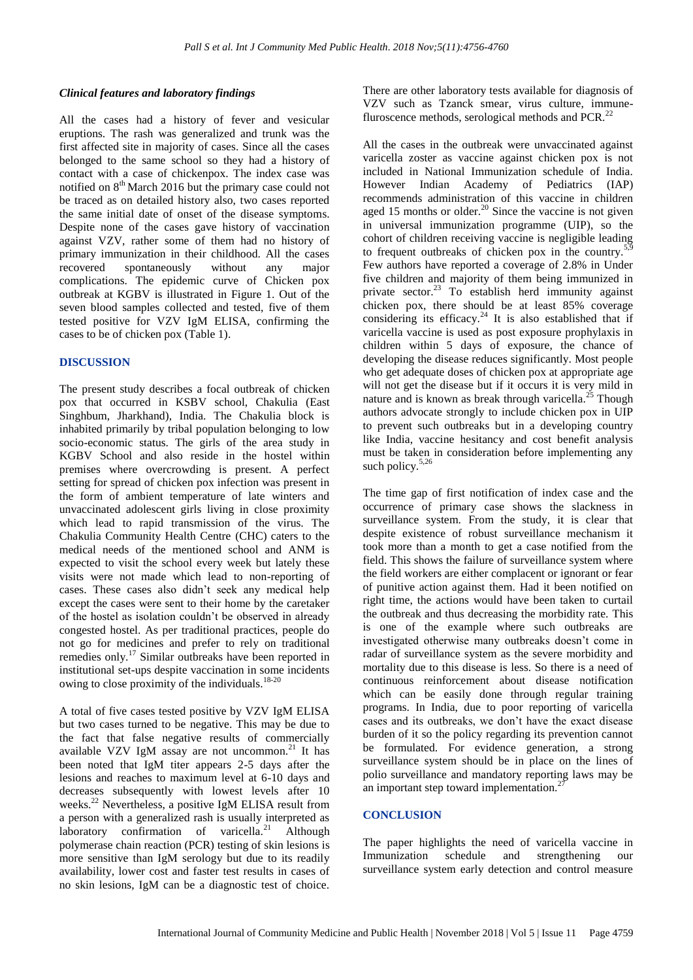## *Clinical features and laboratory findings*

All the cases had a history of fever and vesicular eruptions. The rash was generalized and trunk was the first affected site in majority of cases. Since all the cases belonged to the same school so they had a history of contact with a case of chickenpox. The index case was notified on 8<sup>th</sup> March 2016 but the primary case could not be traced as on detailed history also, two cases reported the same initial date of onset of the disease symptoms. Despite none of the cases gave history of vaccination against VZV, rather some of them had no history of primary immunization in their childhood. All the cases recovered spontaneously without any major complications. The epidemic curve of Chicken pox outbreak at KGBV is illustrated in Figure 1. Out of the seven blood samples collected and tested, five of them tested positive for VZV IgM ELISA, confirming the cases to be of chicken pox (Table 1).

#### **DISCUSSION**

The present study describes a focal outbreak of chicken pox that occurred in KSBV school, Chakulia (East Singhbum, Jharkhand), India. The Chakulia block is inhabited primarily by tribal population belonging to low socio-economic status. The girls of the area study in KGBV School and also reside in the hostel within premises where overcrowding is present. A perfect setting for spread of chicken pox infection was present in the form of ambient temperature of late winters and unvaccinated adolescent girls living in close proximity which lead to rapid transmission of the virus. The Chakulia Community Health Centre (CHC) caters to the medical needs of the mentioned school and ANM is expected to visit the school every week but lately these visits were not made which lead to non-reporting of cases. These cases also didn't seek any medical help except the cases were sent to their home by the caretaker of the hostel as isolation couldn't be observed in already congested hostel. As per traditional practices, people do not go for medicines and prefer to rely on traditional remedies only.<sup>17</sup> Similar outbreaks have been reported in institutional set-ups despite vaccination in some incidents owing to close proximity of the individuals. $18-20$ 

A total of five cases tested positive by VZV IgM ELISA but two cases turned to be negative. This may be due to the fact that false negative results of commercially available VZV IgM assay are not uncommon.<sup>21</sup> It has been noted that IgM titer appears 2-5 days after the lesions and reaches to maximum level at 6-10 days and decreases subsequently with lowest levels after 10 weeks.<sup>22</sup> Nevertheless, a positive IgM ELISA result from a person with a generalized rash is usually interpreted as laboratory confirmation of varicella.<sup>21</sup> Although polymerase chain reaction (PCR) testing of skin lesions is more sensitive than IgM serology but due to its readily availability, lower cost and faster test results in cases of no skin lesions, IgM can be a diagnostic test of choice.

There are other laboratory tests available for diagnosis of VZV such as Tzanck smear, virus culture, immunefluroscence methods, serological methods and PCR.<sup>22</sup>

All the cases in the outbreak were unvaccinated against varicella zoster as vaccine against chicken pox is not included in National Immunization schedule of India. However Indian Academy of Pediatrics (IAP) recommends administration of this vaccine in children aged 15 months or older.<sup>20</sup> Since the vaccine is not given in universal immunization programme (UIP), so the cohort of children receiving vaccine is negligible leading to frequent outbreaks of chicken pox in the country.<sup>5,9</sup> Few authors have reported a coverage of 2.8% in Under five children and majority of them being immunized in private sector.<sup>23</sup> To establish herd immunity against chicken pox, there should be at least 85% coverage considering its efficacy.<sup>24</sup> It is also established that if varicella vaccine is used as post exposure prophylaxis in children within 5 days of exposure, the chance of developing the disease reduces significantly. Most people who get adequate doses of chicken pox at appropriate age will not get the disease but if it occurs it is very mild in nature and is known as break through varicella.<sup>25</sup> Though authors advocate strongly to include chicken pox in UIP to prevent such outbreaks but in a developing country like India, vaccine hesitancy and cost benefit analysis must be taken in consideration before implementing any such policy. $5,26$ 

The time gap of first notification of index case and the occurrence of primary case shows the slackness in surveillance system. From the study, it is clear that despite existence of robust surveillance mechanism it took more than a month to get a case notified from the field. This shows the failure of surveillance system where the field workers are either complacent or ignorant or fear of punitive action against them. Had it been notified on right time, the actions would have been taken to curtail the outbreak and thus decreasing the morbidity rate. This is one of the example where such outbreaks are investigated otherwise many outbreaks doesn't come in radar of surveillance system as the severe morbidity and mortality due to this disease is less. So there is a need of continuous reinforcement about disease notification which can be easily done through regular training programs. In India, due to poor reporting of varicella cases and its outbreaks, we don't have the exact disease burden of it so the policy regarding its prevention cannot be formulated. For evidence generation, a strong surveillance system should be in place on the lines of polio surveillance and mandatory reporting laws may be an important step toward implementation.<sup>2</sup>

#### **CONCLUSION**

The paper highlights the need of varicella vaccine in Immunization schedule and strengthening our surveillance system early detection and control measure